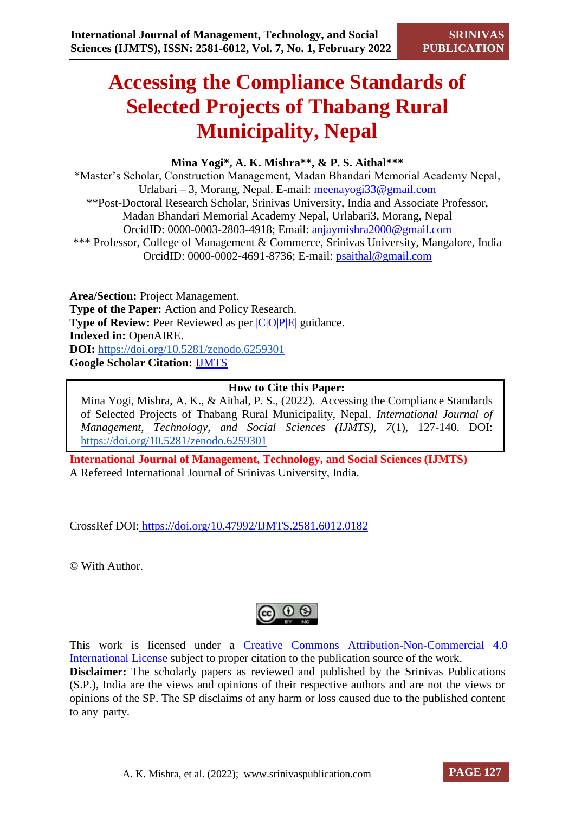# **Accessing the Compliance Standards of Selected Projects of Thabang Rural Municipality, Nepal**

# **Mina Yogi\*, A. K. Mishra\*\*, & P. S. Aithal\*\*\***

\*Master's Scholar, Construction Management, Madan Bhandari Memorial Academy Nepal, Urlabari – 3, Morang, Nepal. E-mail: [meenayogi33@gmail.com](mailto:meenayogi33@gmail.com) \*\*Post-Doctoral Research Scholar, Srinivas University, India and Associate Professor, Madan Bhandari Memorial Academy Nepal, Urlabari3, Morang, Nepal OrcidID: 0000-0003-2803-4918; Email: [anjaymishra2000@gmail.com](mailto:anjaymishra2000@gmail.com) \*\*\* Professor, College of Management & Commerce, Srinivas University, Mangalore, India OrcidID: 0000-0002-4691-8736; E-mail: [psaithal@gmail.com](mailto:psaithal@gmail.com)

**Area/Section:** Project Management. **Type of the Paper:** Action and Policy Research. **Type of Review:** Peer Reviewed as per  $|C|O||P|E|$  guidance. **Indexed in:** OpenAIRE. **DOI:** <https://doi.org/10.5281/zenodo.6259301> **Google Scholar Citation:** [IJMTS](https://scholar.google.com/citations?user=bphF0BQAAAAJ)

# **How to Cite this Paper:**

Mina Yogi, Mishra, A. K., & Aithal, P. S., (2022). Accessing the Compliance Standards of Selected Projects of Thabang Rural Municipality, Nepal. *International Journal of Management, Technology, and Social Sciences (IJMTS), 7*(1), 127-140. DOI: <https://doi.org/10.5281/zenodo.6259301>

**International Journal of Management, Technology, and Social Sciences (IJMTS)** A Refereed International Journal of Srinivas University, India.

CrossRef DOI: [https://doi.org/10.47992/IJMTS.2581.6012.0182](https://search.crossref.org/?q=10.47992%2FIJMTS.2581.6012.0182&from_ui=yes)

© With Author.



This work is licensed under a Creative Commons Attribution-Non-Commercial 4.0 International License subject to proper citation to the publication source of the work. **Disclaimer:** The scholarly papers as reviewed and published by the Srinivas Publications (S.P.), India are the views and opinions of their respective authors and are not the views or opinions of the SP. The SP disclaims of any harm or loss caused due to the published content to any party.

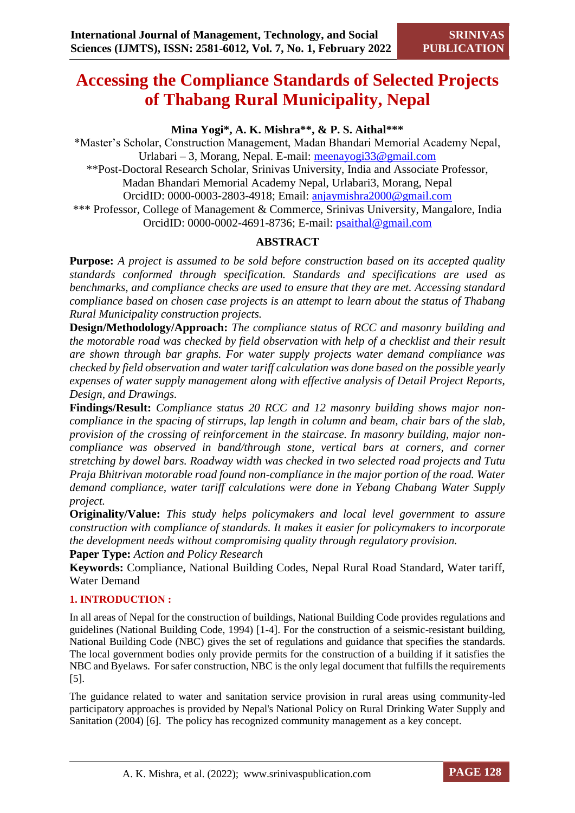# **Accessing the Compliance Standards of Selected Projects of Thabang Rural Municipality, Nepal**

# **Mina Yogi\*, A. K. Mishra\*\*, & P. S. Aithal\*\*\***

\*Master's Scholar, Construction Management, Madan Bhandari Memorial Academy Nepal, Urlabari – 3, Morang, Nepal. E-mail: [meenayogi33@gmail.com](mailto:meenayogi33@gmail.com) \*\*Post-Doctoral Research Scholar, Srinivas University, India and Associate Professor, Madan Bhandari Memorial Academy Nepal, Urlabari3, Morang, Nepal OrcidID: 0000-0003-2803-4918; Email: [anjaymishra2000@gmail.com](mailto:anjaymishra2000@gmail.com) \*\*\* Professor, College of Management & Commerce, Srinivas University, Mangalore, India OrcidID: 0000-0002-4691-8736; E-mail: [psaithal@gmail.com](mailto:psaithal@gmail.com)

# **ABSTRACT**

**Purpose:** *A project is assumed to be sold before construction based on its accepted quality standards conformed through specification. Standards and specifications are used as benchmarks, and compliance checks are used to ensure that they are met. Accessing standard compliance based on chosen case projects is an attempt to learn about the status of Thabang Rural Municipality construction projects.* 

**Design/Methodology/Approach:** *The compliance status of RCC and masonry building and the motorable road was checked by field observation with help of a checklist and their result are shown through bar graphs. For water supply projects water demand compliance was checked by field observation and water tariff calculation was done based on the possible yearly expenses of water supply management along with effective analysis of Detail Project Reports, Design, and Drawings.*

**Findings/Result:** *Compliance status 20 RCC and 12 masonry building shows major noncompliance in the spacing of stirrups, lap length in column and beam, chair bars of the slab, provision of the crossing of reinforcement in the staircase. In masonry building, major noncompliance was observed in band/through stone, vertical bars at corners, and corner stretching by dowel bars. Roadway width was checked in two selected road projects and Tutu Praja Bhitrivan motorable road found non-compliance in the major portion of the road. Water demand compliance, water tariff calculations were done in Yebang Chabang Water Supply project.*

**Originality/Value:** *This study helps policymakers and local level government to assure construction with compliance of standards. It makes it easier for policymakers to incorporate the development needs without compromising quality through regulatory provision.*

**Paper Type:** *Action and Policy Research*

**Keywords:** Compliance, National Building Codes, Nepal Rural Road Standard, Water tariff, Water Demand

# **1. INTRODUCTION :**

In all areas of Nepal for the construction of buildings, National Building Code provides regulations and guidelines (National Building Code, 1994) [1-4]. For the construction of a seismic-resistant building, National Building Code (NBC) gives the set of regulations and guidance that specifies the standards. The local government bodies only provide permits for the construction of a building if it satisfies the NBC and Byelaws. For safer construction, NBC is the only legal document that fulfills the requirements [5].

The guidance related to water and sanitation service provision in rural areas using community-led participatory approaches is provided by Nepal's National Policy on Rural Drinking Water Supply and Sanitation (2004) [6]. The policy has recognized community management as a key concept.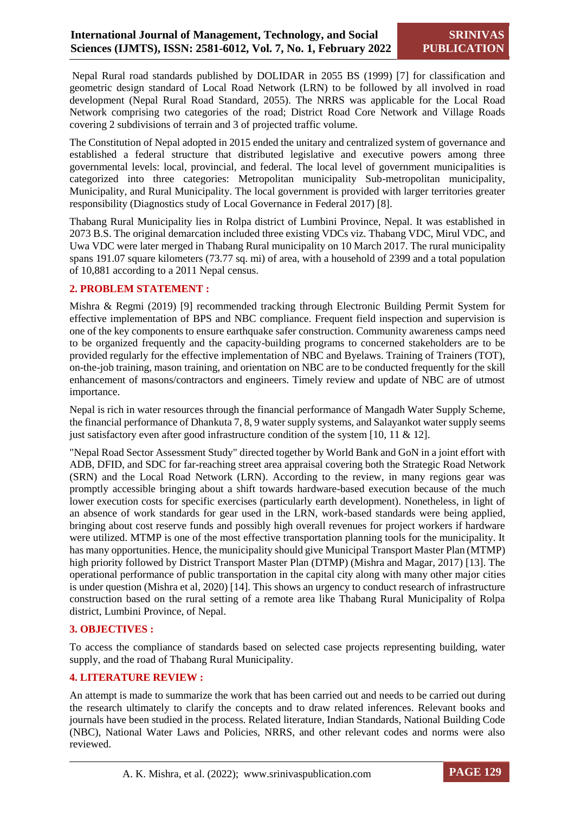Nepal Rural road standards published by DOLIDAR in 2055 BS (1999) [7] for classification and geometric design standard of Local Road Network (LRN) to be followed by all involved in road development (Nepal Rural Road Standard, 2055). The NRRS was applicable for the Local Road Network comprising two categories of the road; District Road Core Network and Village Roads covering 2 subdivisions of terrain and 3 of projected traffic volume.

The Constitution of Nepal adopted in 2015 ended the unitary and centralized system of governance and established a federal structure that distributed legislative and executive powers among three governmental levels: local, provincial, and federal. The local level of government municipalities is categorized into three categories: Metropolitan municipality Sub-metropolitan municipality, Municipality, and Rural Municipality. The local government is provided with larger territories greater responsibility (Diagnostics study of Local Governance in Federal 2017) [8].

Thabang Rural Municipality lies in Rolpa district of Lumbini Province, Nepal. It was established in 2073 B.S. The original demarcation included three existing VDCs viz. Thabang VDC, Mirul VDC, and Uwa VDC were later merged in Thabang Rural municipality on 10 March 2017. The rural municipality spans 191.07 square kilometers (73.77 sq. mi) of area, with a household of 2399 and a total population of 10,881 according to a 2011 Nepal census.

# **2. PROBLEM STATEMENT :**

Mishra & Regmi (2019) [9] recommended tracking through Electronic Building Permit System for effective implementation of BPS and NBC compliance. Frequent field inspection and supervision is one of the key components to ensure earthquake safer construction. Community awareness camps need to be organized frequently and the capacity-building programs to concerned stakeholders are to be provided regularly for the effective implementation of NBC and Byelaws. Training of Trainers (TOT), on-the-job training, mason training, and orientation on NBC are to be conducted frequently for the skill enhancement of masons/contractors and engineers. Timely review and update of NBC are of utmost importance.

Nepal is rich in water resources through the financial performance of Mangadh Water Supply Scheme, the financial performance of Dhankuta 7, 8, 9 water supply systems, and Salayankot water supply seems just satisfactory even after good infrastructure condition of the system [10, 11  $\&$  12].

"Nepal Road Sector Assessment Study" directed together by World Bank and GoN in a joint effort with ADB, DFID, and SDC for far-reaching street area appraisal covering both the Strategic Road Network (SRN) and the Local Road Network (LRN). According to the review, in many regions gear was promptly accessible bringing about a shift towards hardware-based execution because of the much lower execution costs for specific exercises (particularly earth development). Nonetheless, in light of an absence of work standards for gear used in the LRN, work-based standards were being applied, bringing about cost reserve funds and possibly high overall revenues for project workers if hardware were utilized. MTMP is one of the most effective transportation planning tools for the municipality. It has many opportunities. Hence, the municipality should give Municipal Transport Master Plan (MTMP) high priority followed by District Transport Master Plan (DTMP) (Mishra and Magar, 2017) [13]. The operational performance of public transportation in the capital city along with many other major cities is under question (Mishra et al, 2020) [14]. This shows an urgency to conduct research of infrastructure construction based on the rural setting of a remote area like Thabang Rural Municipality of Rolpa district, Lumbini Province, of Nepal.

#### **3. OBJECTIVES :**

To access the compliance of standards based on selected case projects representing building, water supply, and the road of Thabang Rural Municipality.

# **4. LITERATURE REVIEW :**

An attempt is made to summarize the work that has been carried out and needs to be carried out during the research ultimately to clarify the concepts and to draw related inferences. Relevant books and journals have been studied in the process. Related literature, Indian Standards, National Building Code (NBC), National Water Laws and Policies, NRRS, and other relevant codes and norms were also reviewed.

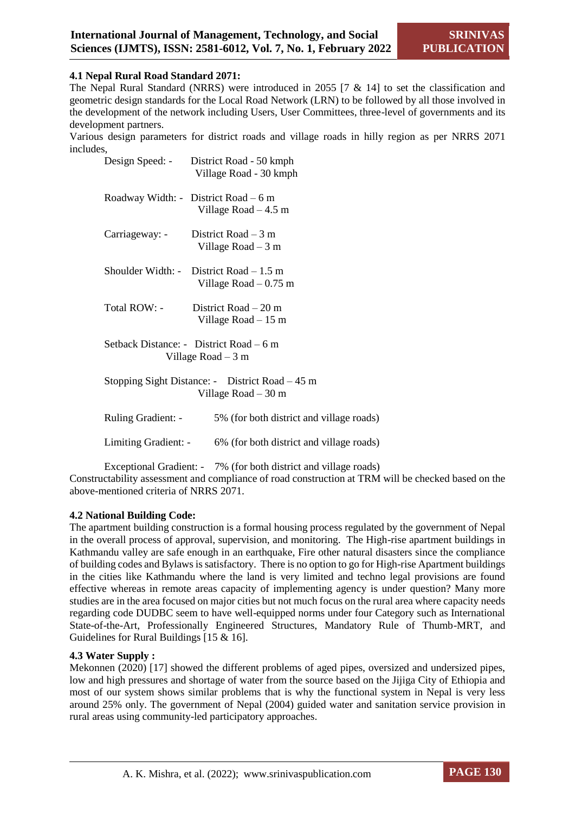# **4.1 Nepal Rural Road Standard 2071:**

The Nepal Rural Standard (NRRS) were introduced in 2055 [7 & 14] to set the classification and geometric design standards for the Local Road Network (LRN) to be followed by all those involved in the development of the network including Users, User Committees, three-level of governments and its development partners.

Various design parameters for district roads and village roads in hilly region as per NRRS 2071 includes,

|                                                                          | Design Speed: - District Road - 50 kmph<br>Village Road - 30 kmph  |  |  |  |  |
|--------------------------------------------------------------------------|--------------------------------------------------------------------|--|--|--|--|
|                                                                          | Roadway Width: - District Road $-6$ m<br>Village Road $-4.5$ m     |  |  |  |  |
| Carriageway: -                                                           | District Road $-3$ m<br>Village Road $-3$ m                        |  |  |  |  |
|                                                                          | Shoulder Width: - District Road $-1.5$ m<br>Village Road $-0.75$ m |  |  |  |  |
| Total ROW: -                                                             | District Road $-20$ m<br>Village Road $-15$ m                      |  |  |  |  |
| Setback Distance: - District Road – 6 m<br>Village Road $-3$ m           |                                                                    |  |  |  |  |
| Stopping Sight Distance: - District Road – 45 m<br>Village Road $-$ 30 m |                                                                    |  |  |  |  |
| Ruling Gradient: -                                                       | 5% (for both district and village roads)                           |  |  |  |  |
| Limiting Gradient: -                                                     | 6% (for both district and village roads)                           |  |  |  |  |
|                                                                          |                                                                    |  |  |  |  |

Exceptional Gradient: - 7% (for both district and village roads) Constructability assessment and compliance of road construction at TRM will be checked based on the above-mentioned criteria of NRRS 2071.

#### **4.2 National Building Code:**

The apartment building construction is a formal housing process regulated by the government of Nepal in the overall process of approval, supervision, and monitoring. The High-rise apartment buildings in Kathmandu valley are safe enough in an earthquake, Fire other natural disasters since the compliance of building codes and Bylaws is satisfactory. There is no option to go for High-rise Apartment buildings in the cities like Kathmandu where the land is very limited and techno legal provisions are found effective whereas in remote areas capacity of implementing agency is under question? Many more studies are in the area focused on major cities but not much focus on the rural area where capacity needs regarding code DUDBC seem to have well-equipped norms under four Category such as International State-of-the-Art, Professionally Engineered Structures, Mandatory Rule of Thumb-MRT, and Guidelines for Rural Buildings [15 & 16].

#### **4.3 Water Supply :**

Mekonnen (2020) [17] showed the different problems of aged pipes, oversized and undersized pipes, low and high pressures and shortage of water from the source based on the Jijiga City of Ethiopia and most of our system shows similar problems that is why the functional system in Nepal is very less around 25% only. The government of Nepal (2004) guided water and sanitation service provision in rural areas using community-led participatory approaches.

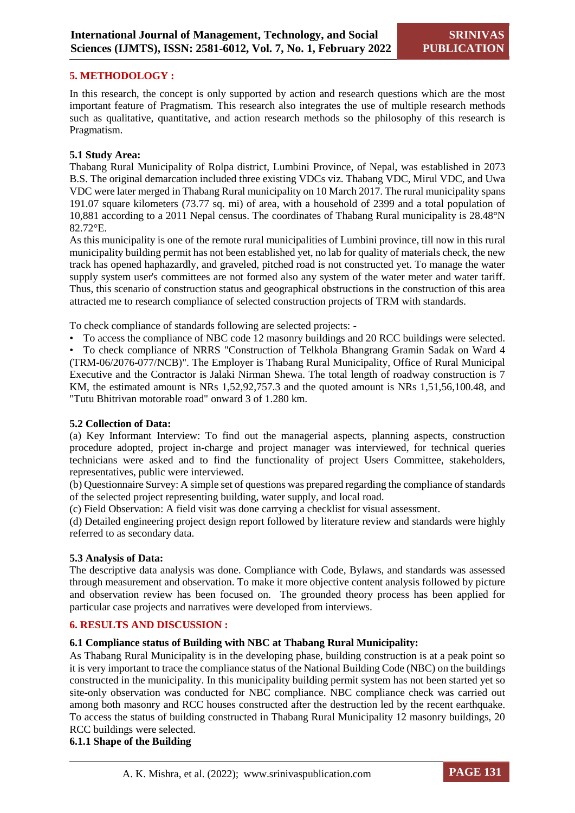## **5. METHODOLOGY :**

In this research, the concept is only supported by action and research questions which are the most important feature of Pragmatism. This research also integrates the use of multiple research methods such as qualitative, quantitative, and action research methods so the philosophy of this research is Pragmatism.

#### **5.1 Study Area:**

Thabang Rural Municipality of Rolpa district, Lumbini Province, of Nepal, was established in 2073 B.S. The original demarcation included three existing VDCs viz. Thabang VDC, Mirul VDC, and Uwa VDC were later merged in Thabang Rural municipality on 10 March 2017. The rural municipality spans 191.07 square kilometers (73.77 sq. mi) of area, with a household of 2399 and a total population of 10,881 according to a 2011 Nepal census. The coordinates of Thabang Rural municipality is 28.48°N 82.72°E.

As this municipality is one of the remote rural municipalities of Lumbini province, till now in this rural municipality building permit has not been established yet, no lab for quality of materials check, the new track has opened haphazardly, and graveled, pitched road is not constructed yet. To manage the water supply system user's committees are not formed also any system of the water meter and water tariff. Thus, this scenario of construction status and geographical obstructions in the construction of this area attracted me to research compliance of selected construction projects of TRM with standards.

To check compliance of standards following are selected projects: -

• To access the compliance of NBC code 12 masonry buildings and 20 RCC buildings were selected.

• To check compliance of NRRS "Construction of Telkhola Bhangrang Gramin Sadak on Ward 4 (TRM-06/2076-077/NCB)". The Employer is Thabang Rural Municipality, Office of Rural Municipal Executive and the Contractor is Jalaki Nirman Shewa. The total length of roadway construction is 7 KM, the estimated amount is NRs 1,52,92,757.3 and the quoted amount is NRs 1,51,56,100.48, and "Tutu Bhitrivan motorable road" onward 3 of 1.280 km.

#### **5.2 Collection of Data:**

(a) Key Informant Interview: To find out the managerial aspects, planning aspects, construction procedure adopted, project in-charge and project manager was interviewed, for technical queries technicians were asked and to find the functionality of project Users Committee, stakeholders, representatives, public were interviewed.

(b) Questionnaire Survey: A simple set of questions was prepared regarding the compliance of standards of the selected project representing building, water supply, and local road.

(c) Field Observation: A field visit was done carrying a checklist for visual assessment.

(d) Detailed engineering project design report followed by literature review and standards were highly referred to as secondary data.

# **5.3 Analysis of Data:**

The descriptive data analysis was done. Compliance with Code, Bylaws, and standards was assessed through measurement and observation. To make it more objective content analysis followed by picture and observation review has been focused on. The grounded theory process has been applied for particular case projects and narratives were developed from interviews.

#### **6. RESULTS AND DISCUSSION :**

# **6.1 Compliance status of Building with NBC at Thabang Rural Municipality:**

As Thabang Rural Municipality is in the developing phase, building construction is at a peak point so it is very important to trace the compliance status of the National Building Code (NBC) on the buildings constructed in the municipality. In this municipality building permit system has not been started yet so site-only observation was conducted for NBC compliance. NBC compliance check was carried out among both masonry and RCC houses constructed after the destruction led by the recent earthquake. To access the status of building constructed in Thabang Rural Municipality 12 masonry buildings, 20 RCC buildings were selected.

**6.1.1 Shape of the Building**

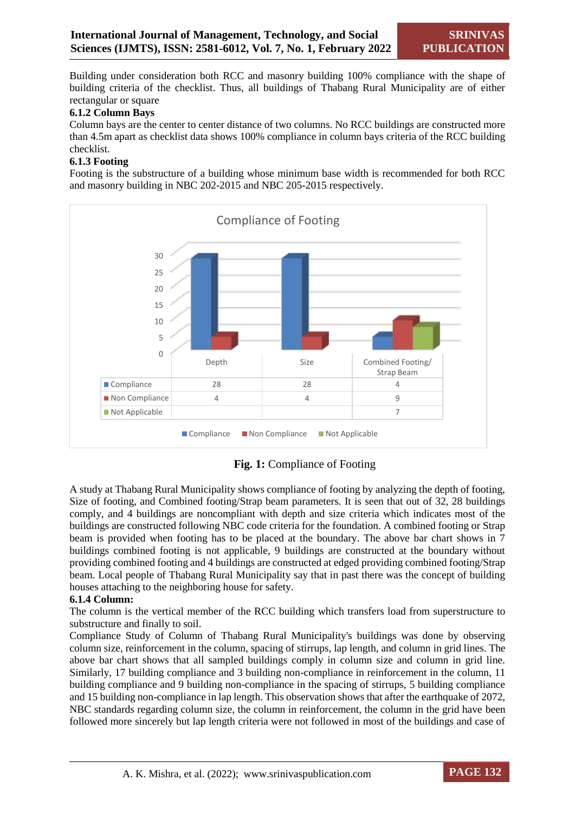Building under consideration both RCC and masonry building 100% compliance with the shape of building criteria of the checklist. Thus, all buildings of Thabang Rural Municipality are of either rectangular or square

# **6.1.2 Column Bays**

Column bays are the center to center distance of two columns. No RCC buildings are constructed more than 4.5m apart as checklist data shows 100% compliance in column bays criteria of the RCC building checklist.

# **6.1.3 Footing**

Footing is the substructure of a building whose minimum base width is recommended for both RCC and masonry building in NBC 202-2015 and NBC 205-2015 respectively.



**Fig. 1:** Compliance of Footing

A study at Thabang Rural Municipality shows compliance of footing by analyzing the depth of footing, Size of footing, and Combined footing/Strap beam parameters. It is seen that out of 32, 28 buildings comply, and 4 buildings are noncompliant with depth and size criteria which indicates most of the buildings are constructed following NBC code criteria for the foundation. A combined footing or Strap beam is provided when footing has to be placed at the boundary. The above bar chart shows in 7 buildings combined footing is not applicable, 9 buildings are constructed at the boundary without providing combined footing and 4 buildings are constructed at edged providing combined footing/Strap beam. Local people of Thabang Rural Municipality say that in past there was the concept of building houses attaching to the neighboring house for safety.

# **6.1.4 Column:**

The column is the vertical member of the RCC building which transfers load from superstructure to substructure and finally to soil.

Compliance Study of Column of Thabang Rural Municipality's buildings was done by observing column size, reinforcement in the column, spacing of stirrups, lap length, and column in grid lines. The above bar chart shows that all sampled buildings comply in column size and column in grid line. Similarly, 17 building compliance and 3 building non-compliance in reinforcement in the column, 11 building compliance and 9 building non-compliance in the spacing of stirrups, 5 building compliance and 15 building non-compliance in lap length. This observation shows that after the earthquake of 2072, NBC standards regarding column size, the column in reinforcement, the column in the grid have been followed more sincerely but lap length criteria were not followed in most of the buildings and case of

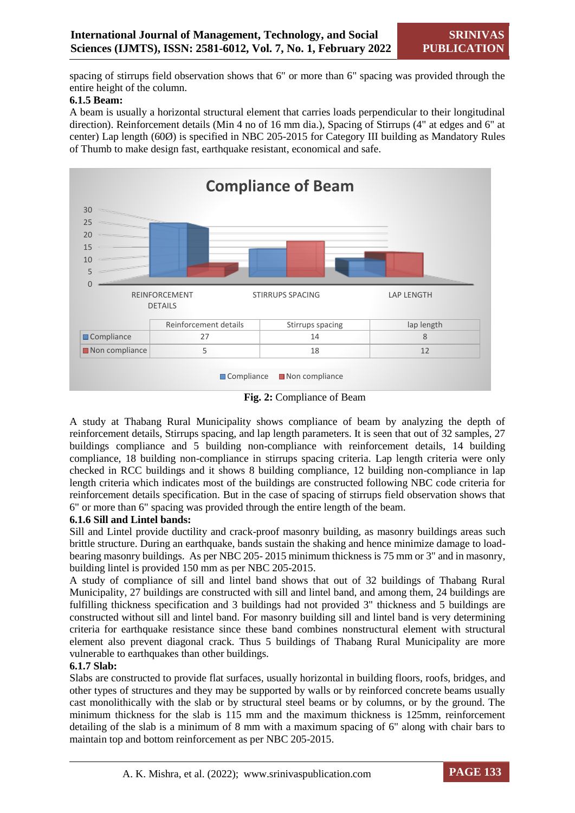spacing of stirrups field observation shows that 6" or more than 6" spacing was provided through the entire height of the column.

# **6.1.5 Beam:**

A beam is usually a horizontal structural element that carries loads perpendicular to their longitudinal direction). Reinforcement details (Min 4 no of 16 mm dia.), Spacing of Stirrups (4" at edges and 6" at center) Lap length (60Ø) is specified in NBC 205-2015 for Category III building as Mandatory Rules of Thumb to make design fast, earthquake resistant, economical and safe.



**Fig. 2:** Compliance of Beam

A study at Thabang Rural Municipality shows compliance of beam by analyzing the depth of reinforcement details, Stirrups spacing, and lap length parameters. It is seen that out of 32 samples, 27 buildings compliance and 5 building non-compliance with reinforcement details, 14 building compliance, 18 building non-compliance in stirrups spacing criteria. Lap length criteria were only checked in RCC buildings and it shows 8 building compliance, 12 building non-compliance in lap length criteria which indicates most of the buildings are constructed following NBC code criteria for reinforcement details specification. But in the case of spacing of stirrups field observation shows that 6" or more than 6" spacing was provided through the entire length of the beam.

# **6.1.6 Sill and Lintel bands:**

Sill and Lintel provide ductility and crack-proof masonry building, as masonry buildings areas such brittle structure. During an earthquake, bands sustain the shaking and hence minimize damage to loadbearing masonry buildings. As per NBC 205- 2015 minimum thickness is 75 mm or 3" and in masonry, building lintel is provided 150 mm as per NBC 205-2015.

A study of compliance of sill and lintel band shows that out of 32 buildings of Thabang Rural Municipality, 27 buildings are constructed with sill and lintel band, and among them, 24 buildings are fulfilling thickness specification and 3 buildings had not provided 3" thickness and 5 buildings are constructed without sill and lintel band. For masonry building sill and lintel band is very determining criteria for earthquake resistance since these band combines nonstructural element with structural element also prevent diagonal crack. Thus 5 buildings of Thabang Rural Municipality are more vulnerable to earthquakes than other buildings.

# **6.1.7 Slab:**

Slabs are constructed to provide flat surfaces, usually horizontal in building floors, roofs, bridges, and other types of structures and they may be supported by walls or by reinforced concrete beams usually cast monolithically with the slab or by structural steel beams or by columns, or by the ground. The minimum thickness for the slab is 115 mm and the maximum thickness is 125mm, reinforcement detailing of the slab is a minimum of 8 mm with a maximum spacing of 6" along with chair bars to maintain top and bottom reinforcement as per NBC 205-2015.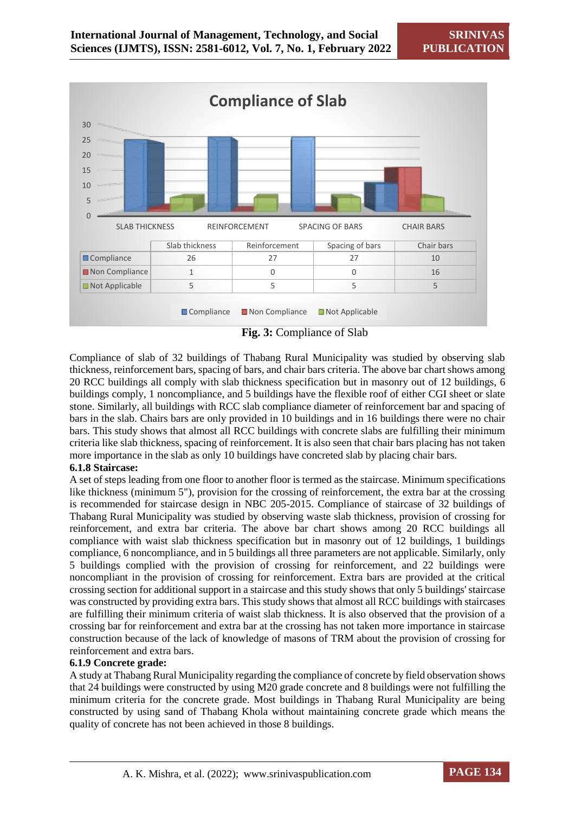

**Fig. 3:** Compliance of Slab

Compliance of slab of 32 buildings of Thabang Rural Municipality was studied by observing slab thickness, reinforcement bars, spacing of bars, and chair bars criteria. The above bar chart shows among 20 RCC buildings all comply with slab thickness specification but in masonry out of 12 buildings, 6 buildings comply, 1 noncompliance, and 5 buildings have the flexible roof of either CGI sheet or slate stone. Similarly, all buildings with RCC slab compliance diameter of reinforcement bar and spacing of bars in the slab. Chairs bars are only provided in 10 buildings and in 16 buildings there were no chair bars. This study shows that almost all RCC buildings with concrete slabs are fulfilling their minimum criteria like slab thickness, spacing of reinforcement. It is also seen that chair bars placing has not taken more importance in the slab as only 10 buildings have concreted slab by placing chair bars.

#### **6.1.8 Staircase:**

A set of steps leading from one floor to another floor is termed as the staircase. Minimum specifications like thickness (minimum 5"), provision for the crossing of reinforcement, the extra bar at the crossing is recommended for staircase design in NBC 205-2015. Compliance of staircase of 32 buildings of Thabang Rural Municipality was studied by observing waste slab thickness, provision of crossing for reinforcement, and extra bar criteria. The above bar chart shows among 20 RCC buildings all compliance with waist slab thickness specification but in masonry out of 12 buildings, 1 buildings compliance, 6 noncompliance, and in 5 buildings all three parameters are not applicable. Similarly, only 5 buildings complied with the provision of crossing for reinforcement, and 22 buildings were noncompliant in the provision of crossing for reinforcement. Extra bars are provided at the critical crossing section for additional support in a staircase and this study shows that only 5 buildings' staircase was constructed by providing extra bars. This study shows that almost all RCC buildings with staircases are fulfilling their minimum criteria of waist slab thickness. It is also observed that the provision of a crossing bar for reinforcement and extra bar at the crossing has not taken more importance in staircase construction because of the lack of knowledge of masons of TRM about the provision of crossing for reinforcement and extra bars.

# **6.1.9 Concrete grade:**

A study at Thabang Rural Municipality regarding the compliance of concrete by field observation shows that 24 buildings were constructed by using M20 grade concrete and 8 buildings were not fulfilling the minimum criteria for the concrete grade. Most buildings in Thabang Rural Municipality are being constructed by using sand of Thabang Khola without maintaining concrete grade which means the quality of concrete has not been achieved in those 8 buildings.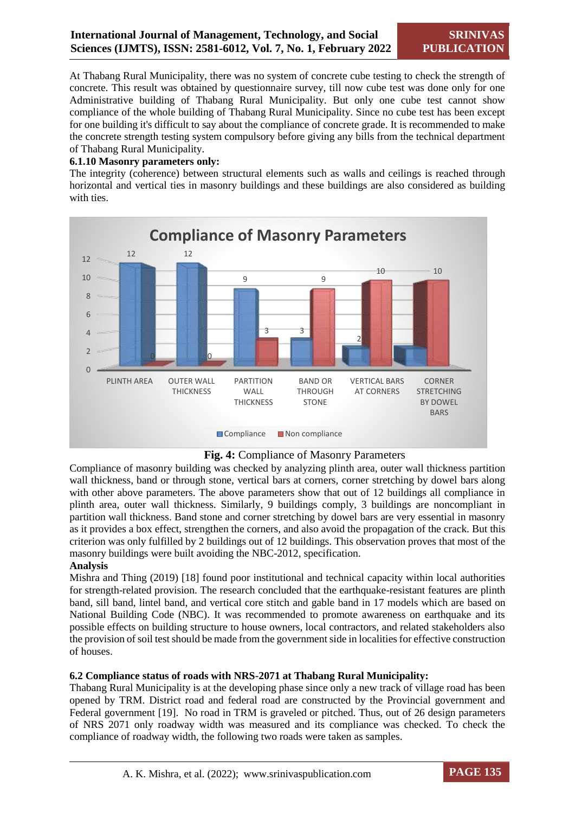At Thabang Rural Municipality, there was no system of concrete cube testing to check the strength of concrete. This result was obtained by questionnaire survey, till now cube test was done only for one Administrative building of Thabang Rural Municipality. But only one cube test cannot show compliance of the whole building of Thabang Rural Municipality. Since no cube test has been except for one building it's difficult to say about the compliance of concrete grade. It is recommended to make the concrete strength testing system compulsory before giving any bills from the technical department of Thabang Rural Municipality.

# **6.1.10 Masonry parameters only:**

The integrity (coherence) between structural elements such as walls and ceilings is reached through horizontal and vertical ties in masonry buildings and these buildings are also considered as building with ties.





Compliance of masonry building was checked by analyzing plinth area, outer wall thickness partition wall thickness, band or through stone, vertical bars at corners, corner stretching by dowel bars along with other above parameters. The above parameters show that out of 12 buildings all compliance in plinth area, outer wall thickness. Similarly, 9 buildings comply, 3 buildings are noncompliant in partition wall thickness. Band stone and corner stretching by dowel bars are very essential in masonry as it provides a box effect, strengthen the corners, and also avoid the propagation of the crack. But this criterion was only fulfilled by 2 buildings out of 12 buildings. This observation proves that most of the masonry buildings were built avoiding the NBC-2012, specification.

#### **Analysis**

Mishra and Thing (2019) [18] found poor institutional and technical capacity within local authorities for strength-related provision. The research concluded that the earthquake-resistant features are plinth band, sill band, lintel band, and vertical core stitch and gable band in 17 models which are based on National Building Code (NBC). It was recommended to promote awareness on earthquake and its possible effects on building structure to house owners, local contractors, and related stakeholders also the provision of soil test should be made from the government side in localities for effective construction of houses.

#### **6.2 Compliance status of roads with NRS-2071 at Thabang Rural Municipality:**

Thabang Rural Municipality is at the developing phase since only a new track of village road has been opened by TRM. District road and federal road are constructed by the Provincial government and Federal government [19]. No road in TRM is graveled or pitched. Thus, out of 26 design parameters of NRS 2071 only roadway width was measured and its compliance was checked. To check the compliance of roadway width, the following two roads were taken as samples.

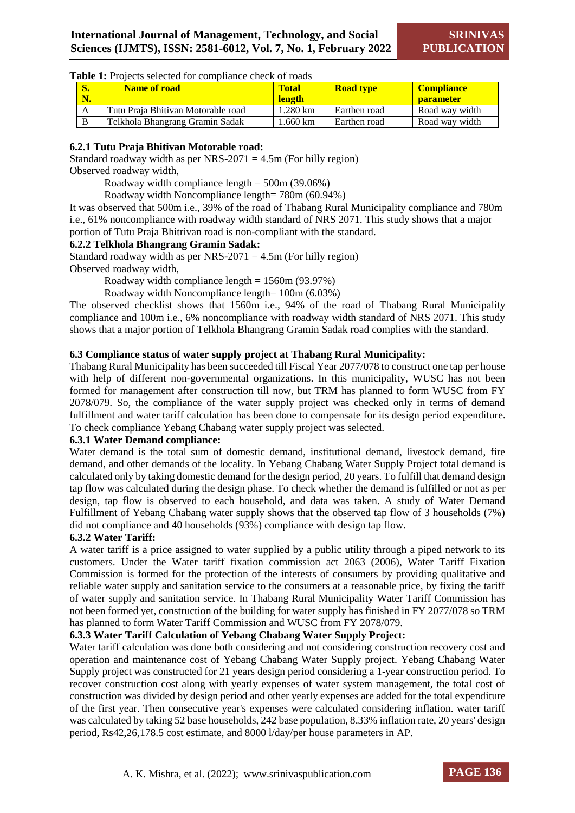#### Table 1: Projects selected for compliance check of roads

| o.<br>N. | <b>Name of road</b>                | Total<br><b>length</b> | <b>Road type</b> | <b>Compliance</b><br><b>parameter</b> |
|----------|------------------------------------|------------------------|------------------|---------------------------------------|
| A        | Tutu Praia Bhitivan Motorable road | $1.280 \text{ km}$     | Earthen road     | Road way width                        |
|          | Telkhola Bhangrang Gramin Sadak    | .660 km                | Earthen road     | Road way width                        |

# **6.2.1 Tutu Praja Bhitivan Motorable road:**

Standard roadway width as per NRS-2071 =  $4.5m$  (For hilly region) Observed roadway width,

Roadway width compliance length = 500m (39.06%)

Roadway width Noncompliance length= 780m (60.94%)

It was observed that 500m i.e., 39% of the road of Thabang Rural Municipality compliance and 780m i.e., 61% noncompliance with roadway width standard of NRS 2071. This study shows that a major portion of Tutu Praja Bhitrivan road is non-compliant with the standard.

# **6.2.2 Telkhola Bhangrang Gramin Sadak:**

Standard roadway width as per NRS-2071 =  $4.5m$  (For hilly region) Observed roadway width,

Roadway width compliance length = 1560m (93.97%)

Roadway width Noncompliance length= 100m (6.03%)

The observed checklist shows that 1560m i.e., 94% of the road of Thabang Rural Municipality compliance and 100m i.e., 6% noncompliance with roadway width standard of NRS 2071. This study shows that a major portion of Telkhola Bhangrang Gramin Sadak road complies with the standard.

# **6.3 Compliance status of water supply project at Thabang Rural Municipality:**

Thabang Rural Municipality has been succeeded till Fiscal Year 2077/078 to construct one tap per house with help of different non-governmental organizations. In this municipality, WUSC has not been formed for management after construction till now, but TRM has planned to form WUSC from FY 2078/079. So, the compliance of the water supply project was checked only in terms of demand fulfillment and water tariff calculation has been done to compensate for its design period expenditure. To check compliance Yebang Chabang water supply project was selected.

#### **6.3.1 Water Demand compliance:**

Water demand is the total sum of domestic demand, institutional demand, livestock demand, fire demand, and other demands of the locality. In Yebang Chabang Water Supply Project total demand is calculated only by taking domestic demand for the design period, 20 years. To fulfill that demand design tap flow was calculated during the design phase. To check whether the demand is fulfilled or not as per design, tap flow is observed to each household, and data was taken. A study of Water Demand Fulfillment of Yebang Chabang water supply shows that the observed tap flow of 3 households (7%) did not compliance and 40 households (93%) compliance with design tap flow.

#### **6.3.2 Water Tariff:**

A water tariff is a price assigned to water supplied by a public utility through a piped network to its customers. Under the Water tariff fixation commission act 2063 (2006), Water Tariff Fixation Commission is formed for the protection of the interests of consumers by providing qualitative and reliable water supply and sanitation service to the consumers at a reasonable price, by fixing the tariff of water supply and sanitation service. In Thabang Rural Municipality Water Tariff Commission has not been formed yet, construction of the building for water supply has finished in FY 2077/078 so TRM has planned to form Water Tariff Commission and WUSC from FY 2078/079.

# **6.3.3 Water Tariff Calculation of Yebang Chabang Water Supply Project:**

Water tariff calculation was done both considering and not considering construction recovery cost and operation and maintenance cost of Yebang Chabang Water Supply project. Yebang Chabang Water Supply project was constructed for 21 years design period considering a 1-year construction period. To recover construction cost along with yearly expenses of water system management, the total cost of construction was divided by design period and other yearly expenses are added for the total expenditure of the first year. Then consecutive year's expenses were calculated considering inflation. water tariff was calculated by taking 52 base households, 242 base population, 8.33% inflation rate, 20 years' design period, Rs42,26,178.5 cost estimate, and 8000 l/day/per house parameters in AP.

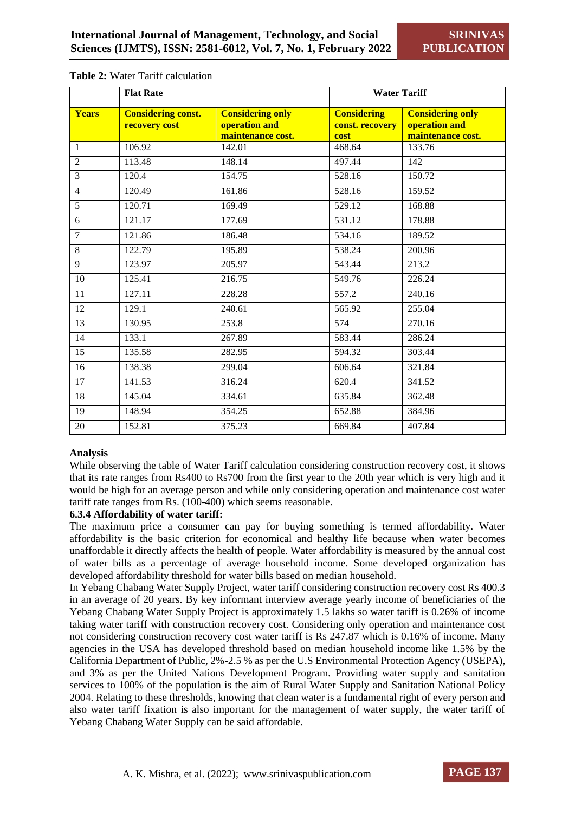|                 | <b>Flat Rate</b>                           |                                                               | <b>Water Tariff</b>                           |                                                               |
|-----------------|--------------------------------------------|---------------------------------------------------------------|-----------------------------------------------|---------------------------------------------------------------|
| <b>Years</b>    | <b>Considering const.</b><br>recovery cost | <b>Considering only</b><br>operation and<br>maintenance cost. | <b>Considering</b><br>const. recovery<br>cost | <b>Considering only</b><br>operation and<br>maintenance cost. |
| $\mathbf{1}$    | 106.92                                     | 142.01                                                        | 468.64                                        | 133.76                                                        |
| $\overline{2}$  | 113.48                                     | 148.14                                                        | 497.44                                        | 142                                                           |
| $\overline{3}$  | 120.4                                      | 154.75                                                        | 528.16                                        | 150.72                                                        |
| $\overline{4}$  | 120.49                                     | 161.86                                                        | 528.16                                        | 159.52                                                        |
| $\overline{5}$  | 120.71                                     | 169.49                                                        | 529.12                                        | 168.88                                                        |
| 6               | 121.17                                     | 177.69                                                        | 531.12                                        | 178.88                                                        |
| $\overline{7}$  | 121.86                                     | 186.48                                                        | 534.16                                        | 189.52                                                        |
| 8               | 122.79                                     | 195.89                                                        | 538.24                                        | 200.96                                                        |
| $\overline{9}$  | 123.97                                     | 205.97                                                        | 543.44                                        | 213.2                                                         |
| 10              | 125.41                                     | 216.75                                                        | 549.76                                        | 226.24                                                        |
| 11              | 127.11                                     | 228.28                                                        | 557.2                                         | 240.16                                                        |
| $\overline{12}$ | 129.1                                      | 240.61                                                        | 565.92                                        | 255.04                                                        |
| $\overline{13}$ | 130.95                                     | 253.8                                                         | $\overline{574}$                              | 270.16                                                        |
| $\overline{14}$ | 133.1                                      | 267.89                                                        | 583.44                                        | 286.24                                                        |
| 15              | 135.58                                     | 282.95                                                        | 594.32                                        | 303.44                                                        |
| 16              | 138.38                                     | 299.04                                                        | 606.64                                        | 321.84                                                        |
| 17              | 141.53                                     | 316.24                                                        | 620.4                                         | 341.52                                                        |
| 18              | 145.04                                     | 334.61                                                        | 635.84                                        | 362.48                                                        |
| 19              | 148.94                                     | 354.25                                                        | 652.88                                        | 384.96                                                        |
| $\overline{20}$ | 152.81                                     | 375.23                                                        | 669.84                                        | 407.84                                                        |

#### **Table 2:** Water Tariff calculation

#### **Analysis**

While observing the table of Water Tariff calculation considering construction recovery cost, it shows that its rate ranges from Rs400 to Rs700 from the first year to the 20th year which is very high and it would be high for an average person and while only considering operation and maintenance cost water tariff rate ranges from Rs. (100-400) which seems reasonable.

#### **6.3.4 Affordability of water tariff:**

The maximum price a consumer can pay for buying something is termed affordability. Water affordability is the basic criterion for economical and healthy life because when water becomes unaffordable it directly affects the health of people. Water affordability is measured by the annual cost of water bills as a percentage of average household income. Some developed organization has developed affordability threshold for water bills based on median household.

In Yebang Chabang Water Supply Project, water tariff considering construction recovery cost Rs 400.3 in an average of 20 years. By key informant interview average yearly income of beneficiaries of the Yebang Chabang Water Supply Project is approximately 1.5 lakhs so water tariff is 0.26% of income taking water tariff with construction recovery cost. Considering only operation and maintenance cost not considering construction recovery cost water tariff is Rs 247.87 which is 0.16% of income. Many agencies in the USA has developed threshold based on median household income like 1.5% by the California Department of Public, 2%-2.5 % as per the U.S Environmental Protection Agency (USEPA), and 3% as per the United Nations Development Program. Providing water supply and sanitation services to 100% of the population is the aim of Rural Water Supply and Sanitation National Policy 2004. Relating to these thresholds, knowing that clean water is a fundamental right of every person and also water tariff fixation is also important for the management of water supply, the water tariff of Yebang Chabang Water Supply can be said affordable.

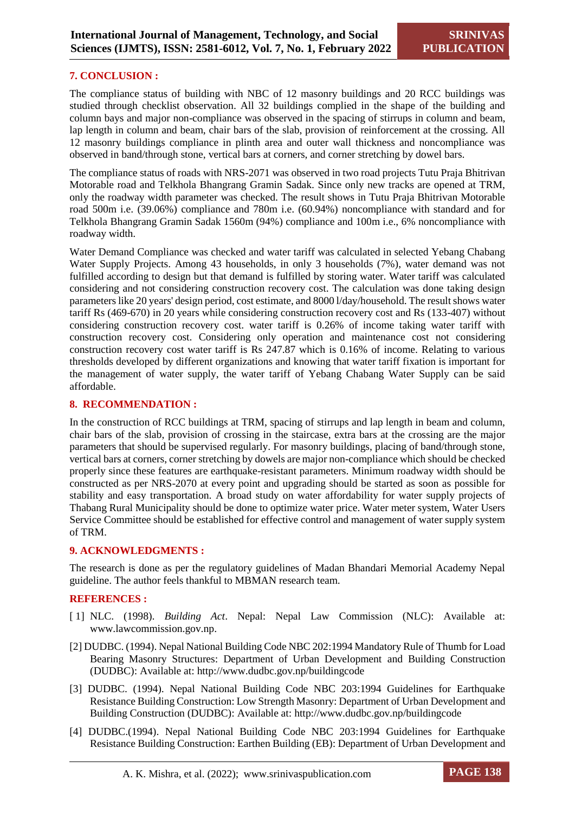# **7. CONCLUSION :**

The compliance status of building with NBC of 12 masonry buildings and 20 RCC buildings was studied through checklist observation. All 32 buildings complied in the shape of the building and column bays and major non-compliance was observed in the spacing of stirrups in column and beam, lap length in column and beam, chair bars of the slab, provision of reinforcement at the crossing. All 12 masonry buildings compliance in plinth area and outer wall thickness and noncompliance was observed in band/through stone, vertical bars at corners, and corner stretching by dowel bars.

The compliance status of roads with NRS-2071 was observed in two road projects Tutu Praja Bhitrivan Motorable road and Telkhola Bhangrang Gramin Sadak. Since only new tracks are opened at TRM, only the roadway width parameter was checked. The result shows in Tutu Praja Bhitrivan Motorable road 500m i.e. (39.06%) compliance and 780m i.e. (60.94%) noncompliance with standard and for Telkhola Bhangrang Gramin Sadak 1560m (94%) compliance and 100m i.e., 6% noncompliance with roadway width.

Water Demand Compliance was checked and water tariff was calculated in selected Yebang Chabang Water Supply Projects. Among 43 households, in only 3 households (7%), water demand was not fulfilled according to design but that demand is fulfilled by storing water. Water tariff was calculated considering and not considering construction recovery cost. The calculation was done taking design parameters like 20 years' design period, cost estimate, and 8000 l/day/household. The result shows water tariff Rs (469-670) in 20 years while considering construction recovery cost and Rs (133-407) without considering construction recovery cost. water tariff is 0.26% of income taking water tariff with construction recovery cost. Considering only operation and maintenance cost not considering construction recovery cost water tariff is Rs 247.87 which is 0.16% of income. Relating to various thresholds developed by different organizations and knowing that water tariff fixation is important for the management of water supply, the water tariff of Yebang Chabang Water Supply can be said affordable.

#### **8. RECOMMENDATION :**

In the construction of RCC buildings at TRM, spacing of stirrups and lap length in beam and column, chair bars of the slab, provision of crossing in the staircase, extra bars at the crossing are the major parameters that should be supervised regularly. For masonry buildings, placing of band/through stone, vertical bars at corners, corner stretching by dowels are major non-compliance which should be checked properly since these features are earthquake-resistant parameters. Minimum roadway width should be constructed as per NRS-2070 at every point and upgrading should be started as soon as possible for stability and easy transportation. A broad study on water affordability for water supply projects of Thabang Rural Municipality should be done to optimize water price. Water meter system, Water Users Service Committee should be established for effective control and management of water supply system of TRM.

#### **9. ACKNOWLEDGMENTS :**

The research is done as per the regulatory guidelines of Madan Bhandari Memorial Academy Nepal guideline. The author feels thankful to MBMAN research team.

#### **REFERENCES :**

- [ 1] NLC. (1998). *Building Act*. Nepal: Nepal Law Commission (NLC): Available at: www.lawcommission.gov.np.
- [2] DUDBC. (1994). Nepal National Building Code NBC 202:1994 Mandatory Rule of Thumb for Load Bearing Masonry Structures: Department of Urban Development and Building Construction (DUDBC): Available at: http://www.dudbc.gov.np/buildingcode
- [3] DUDBC. (1994). Nepal National Building Code NBC 203:1994 Guidelines for Earthquake Resistance Building Construction: Low Strength Masonry: Department of Urban Development and Building Construction (DUDBC): Available at: http://www.dudbc.gov.np/buildingcode
- [4] DUDBC.(1994). Nepal National Building Code NBC 203:1994 Guidelines for Earthquake Resistance Building Construction: Earthen Building (EB): Department of Urban Development and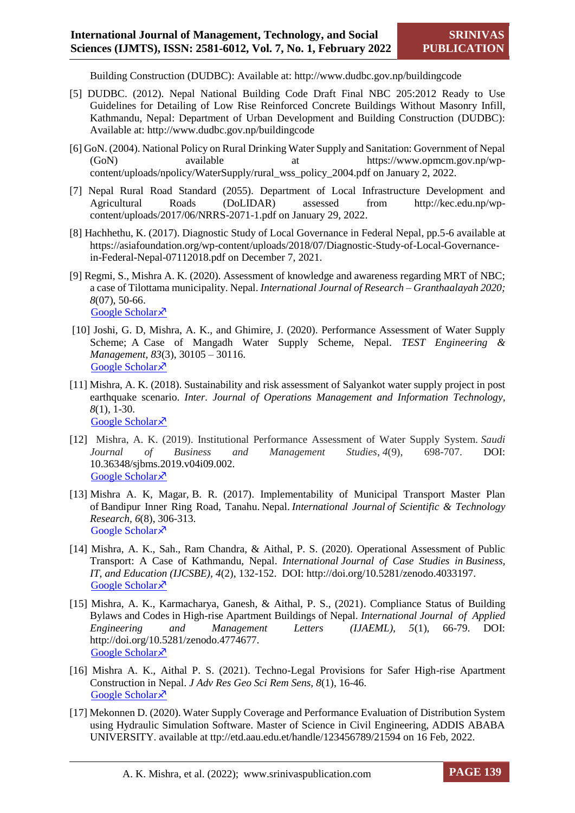Building Construction (DUDBC): Available at: http://www.dudbc.gov.np/buildingcode

- [5] DUDBC. (2012). Nepal National Building Code Draft Final NBC 205:2012 Ready to Use Guidelines for Detailing of Low Rise Reinforced Concrete Buildings Without Masonry Infill, Kathmandu, Nepal: Department of Urban Development and Building Construction (DUDBC): Available at: http://www.dudbc.gov.np/buildingcode
- [6] GoN. (2004). National Policy on Rural Drinking Water Supply and Sanitation: Government of Nepal (GoN) available at https://www.opmcm.gov.np/wpcontent/uploads/npolicy/WaterSupply/rural\_wss\_policy\_2004.pdf on January 2, 2022.
- [7] Nepal Rural Road Standard (2055). Department of Local Infrastructure Development and Agricultural Roads (DoLIDAR) assessed from http://kec.edu.np/wpcontent/uploads/2017/06/NRRS-2071-1.pdf on January 29, 2022.
- [8] Hachhethu, K. (2017). Diagnostic Study of Local Governance in Federal Nepal, pp.5-6 available at https://asiafoundation.org/wp-content/uploads/2018/07/Diagnostic-Study-of-Local-Governancein-Federal-Nepal-07112018.pdf on December 7, 2021.
- [9] Regmi, S., Mishra A. K. (2020). Assessment of knowledge and awareness regarding MRT of NBC; a case of Tilottama municipality. Nepal. *International Journal of Research – Granthaalayah 2020; 8*(07), 50-66. [Google Scholar](https://papers.ssrn.com/sol3/papers.cfm?abstract_id=3858322) ×
- [10] Joshi, G. D, Mishra, A. K., and Ghimire, J. (2020). Performance Assessment of Water Supply Scheme; A Case of Mangadh Water Supply Scheme, Nepal. *TEST Engineering & Management, 83*(3), 30105 – 30116. [Google Scholar](https://papers.ssrn.com/sol3/papers.cfm?abstract_id=3858290) ×
- [11] Mishra, A. K. (2018). Sustainability and risk assessment of Salyankot water supply project in post earthquake scenario. *Inter. Journal of Operations Management and Information Technology*, *8*(1), 1-30. [Google Scholar](https://www.ripublication.com/ijomit18/ijomitv8n1_01.pdf)<sup> $\lambda$ </sup>
- [12] Mishra, A. K. (2019). Institutional Performance Assessment of Water Supply System. *Saudi Journal of Business and Management Studies*, *4*(9), 698-707. DOI: 10.36348/sjbms.2019.v04i09.002. [Google Scholar](https://www.researchgate.net/profile/Anjay-Mishra/publication/340709681_Institutional_Performance_Assessment_of_Water_Supply_System/links/5e9e6087a6fdcca7892bd977/Institutional-Performance-Assessment-of-Water-Supply-System.pdf) ×
- [13] Mishra A. K, Magar, B. R. (2017). Implementability of Municipal Transport Master Plan of Bandipur Inner Ring Road, Tanahu. Nepal. *International Journal of Scientific & Technology Research, 6*(8), 306-313. Google Scholar ×
- [14] Mishra, A. K., Sah., Ram Chandra, & Aithal, P. S. (2020). Operational Assessment of Public Transport: A Case of Kathmandu, Nepal. *International Journal of Case Studies in Business, IT, and Education (IJCSBE), 4*(2), 132-152. DOI: http://doi.org/10.5281/zenodo.4033197. [Google Scholar](https://papers.ssrn.com/sol3/papers.cfm?abstract_id=3694383) ×
- [15] Mishra, A. K., Karmacharya, Ganesh, & Aithal, P. S., (2021). Compliance Status of Building Bylaws and Codes in High-rise Apartment Buildings of Nepal. *International Journal of Applied Engineering and Management Letters (IJAEML), 5*(1), 66-79. DOI: http://doi.org/10.5281/zenodo.4774677. [Google Scholar](https://papers.ssrn.com/sol3/papers.cfm?abstract_id=3850808) ×
- [16] Mishra A. K., Aithal P. S. (2021). Techno-Legal Provisions for Safer High-rise Apartment Construction in Nepal. *J Adv Res Geo Sci Rem Sens, 8*(1), 16-46. [Google Scholar](http://thejournalshouse.com/index.php/geoscience-remotesensing-earth/article/view/139) ×
- [17] Mekonnen D. (2020). Water Supply Coverage and Performance Evaluation of Distribution System using Hydraulic Simulation Software. Master of Science in Civil Engineering, ADDIS ABABA UNIVERSITY. available at ttp://etd.aau.edu.et/handle/123456789/21594 on 16 Feb, 2022.